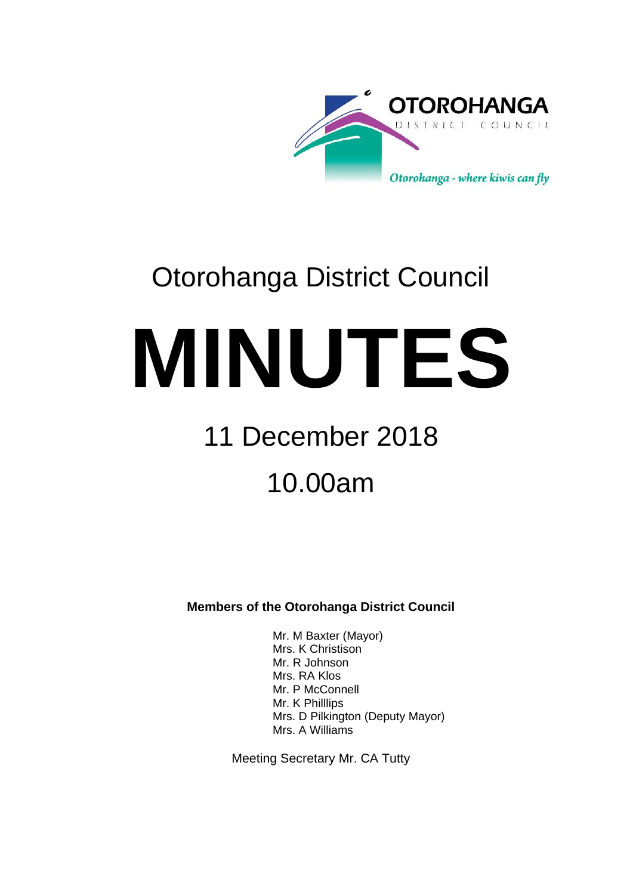

# Otorohanga District Council

**MINUTES**

# 11 December 2018 10.00am

**Members of the Otorohanga District Council**

Mr. M Baxter (Mayor) Mrs. K Christison Mr. R Johnson Mrs. RA Klos Mr. P McConnell Mr. K Philllips Mrs. D Pilkington (Deputy Mayor) Mrs. A Williams

Meeting Secretary Mr. CA Tutty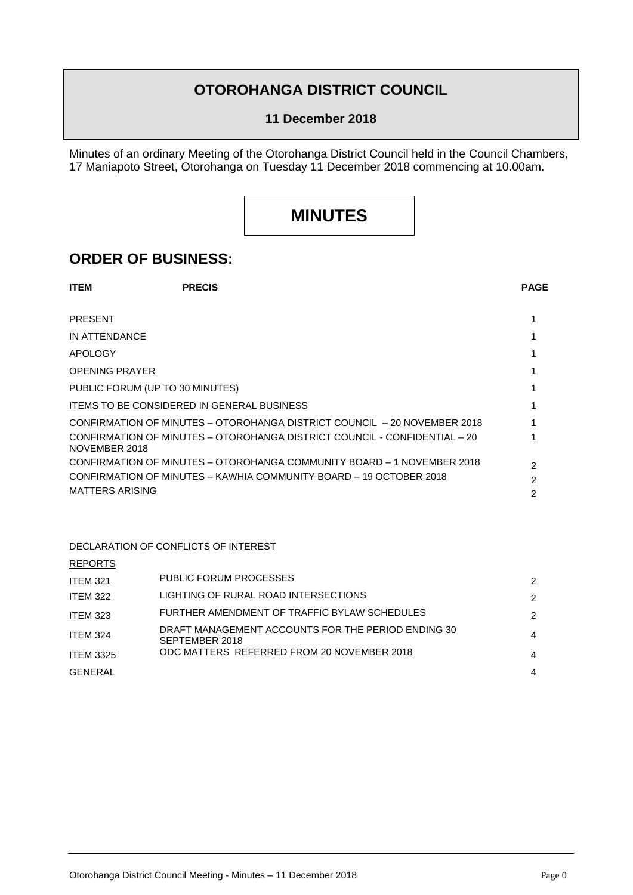### **OTOROHANGA DISTRICT COUNCIL**

#### **11 December 2018**

Minutes of an ordinary Meeting of the Otorohanga District Council held in the Council Chambers, 17 Maniapoto Street, Otorohanga on Tuesday 11 December 2018 commencing at 10.00am.

## **MINUTES**

### **ORDER OF BUSINESS:**

| <b>ITEM</b>                     | <b>PRECIS</b>                                     |                                                                           | <b>PAGE</b> |
|---------------------------------|---------------------------------------------------|---------------------------------------------------------------------------|-------------|
| <b>PRESENT</b>                  |                                                   |                                                                           |             |
|                                 |                                                   |                                                                           |             |
| IN ATTENDANCE                   |                                                   |                                                                           |             |
| APOLOGY                         |                                                   |                                                                           |             |
| <b>OPENING PRAYER</b>           |                                                   |                                                                           |             |
| PUBLIC FORUM (UP TO 30 MINUTES) |                                                   |                                                                           |             |
|                                 | <b>ITEMS TO BE CONSIDERED IN GENERAL BUSINESS</b> |                                                                           |             |
|                                 |                                                   | CONFIRMATION OF MINUTES – OTOROHANGA DISTRICT COUNCIL – 20 NOVEMBER 2018  |             |
| NOVEMBER 2018                   |                                                   | CONFIRMATION OF MINUTES - OTOROHANGA DISTRICT COUNCIL - CONFIDENTIAL - 20 |             |
|                                 |                                                   | CONFIRMATION OF MINUTES – OTOROHANGA COMMUNITY BOARD – 1 NOVEMBER 2018    | 2           |
|                                 |                                                   | CONFIRMATION OF MINUTES - KAWHIA COMMUNITY BOARD - 19 OCTOBER 2018        | 2           |
| MATTERS ARISING                 |                                                   |                                                                           | 2           |

#### DECLARATION OF CONFLICTS OF INTEREST

REPORTS

| <b>ITEM 321</b>  | PUBLIC FORUM PROCESSES                                               | 2              |
|------------------|----------------------------------------------------------------------|----------------|
| <b>ITEM 322</b>  | LIGHTING OF RURAL ROAD INTERSECTIONS                                 | 2              |
| <b>ITEM 323</b>  | FURTHER AMENDMENT OF TRAFFIC BYLAW SCHEDULES                         | 2              |
| <b>ITEM 324</b>  | DRAFT MANAGEMENT ACCOUNTS FOR THE PERIOD ENDING 30<br>SEPTEMBER 2018 | $\overline{4}$ |
| <b>ITEM 3325</b> | ODC MATTERS REFERRED FROM 20 NOVEMBER 2018                           | 4              |
| GENERAL          |                                                                      | 4              |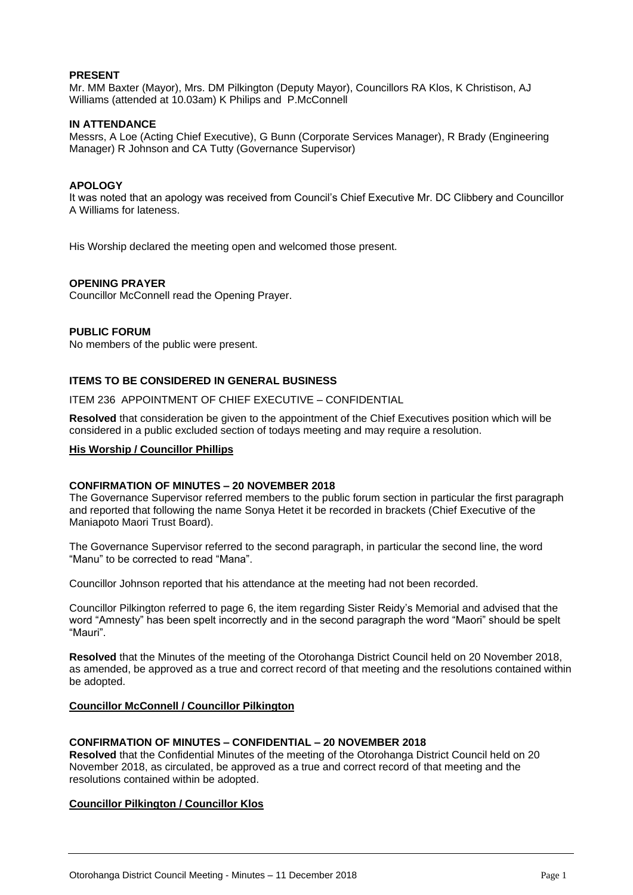#### **PRESENT**

Mr. MM Baxter (Mayor), Mrs. DM Pilkington (Deputy Mayor), Councillors RA Klos, K Christison, AJ Williams (attended at 10.03am) K Philips and P.McConnell

#### **IN ATTENDANCE**

Messrs, A Loe (Acting Chief Executive), G Bunn (Corporate Services Manager), R Brady (Engineering Manager) R Johnson and CA Tutty (Governance Supervisor)

#### **APOLOGY**

It was noted that an apology was received from Council's Chief Executive Mr. DC Clibbery and Councillor A Williams for lateness.

His Worship declared the meeting open and welcomed those present.

#### **OPENING PRAYER**

Councillor McConnell read the Opening Prayer.

#### **PUBLIC FORUM**

No members of the public were present.

#### **ITEMS TO BE CONSIDERED IN GENERAL BUSINESS**

ITEM 236 APPOINTMENT OF CHIEF EXECUTIVE – CONFIDENTIAL

**Resolved** that consideration be given to the appointment of the Chief Executives position which will be considered in a public excluded section of todays meeting and may require a resolution.

#### **His Worship / Councillor Phillips**

#### **CONFIRMATION OF MINUTES – 20 NOVEMBER 2018**

The Governance Supervisor referred members to the public forum section in particular the first paragraph and reported that following the name Sonya Hetet it be recorded in brackets (Chief Executive of the Maniapoto Maori Trust Board).

The Governance Supervisor referred to the second paragraph, in particular the second line, the word "Manu" to be corrected to read "Mana".

Councillor Johnson reported that his attendance at the meeting had not been recorded.

Councillor Pilkington referred to page 6, the item regarding Sister Reidy's Memorial and advised that the word "Amnesty" has been spelt incorrectly and in the second paragraph the word "Maori" should be spelt "Mauri".

**Resolved** that the Minutes of the meeting of the Otorohanga District Council held on 20 November 2018, as amended, be approved as a true and correct record of that meeting and the resolutions contained within be adopted.

#### **Councillor McConnell / Councillor Pilkington**

#### **CONFIRMATION OF MINUTES – CONFIDENTIAL – 20 NOVEMBER 2018**

**Resolved** that the Confidential Minutes of the meeting of the Otorohanga District Council held on 20 November 2018, as circulated, be approved as a true and correct record of that meeting and the resolutions contained within be adopted.

#### **Councillor Pilkington / Councillor Klos**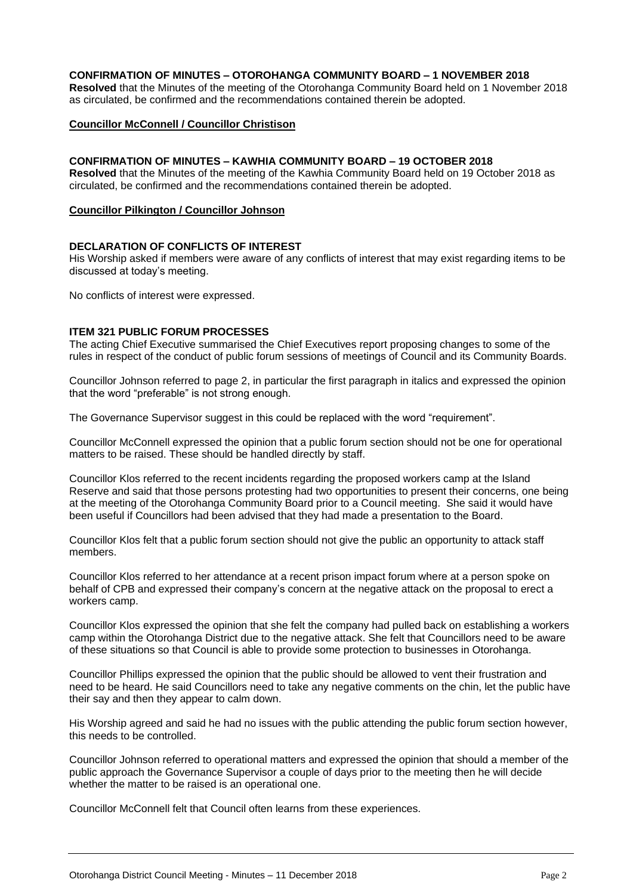#### **CONFIRMATION OF MINUTES – OTOROHANGA COMMUNITY BOARD – 1 NOVEMBER 2018**

**Resolved** that the Minutes of the meeting of the Otorohanga Community Board held on 1 November 2018 as circulated, be confirmed and the recommendations contained therein be adopted.

#### **Councillor McConnell / Councillor Christison**

#### **CONFIRMATION OF MINUTES – KAWHIA COMMUNITY BOARD – 19 OCTOBER 2018**

**Resolved** that the Minutes of the meeting of the Kawhia Community Board held on 19 October 2018 as circulated, be confirmed and the recommendations contained therein be adopted.

#### **Councillor Pilkington / Councillor Johnson**

#### **DECLARATION OF CONFLICTS OF INTEREST**

His Worship asked if members were aware of any conflicts of interest that may exist regarding items to be discussed at today's meeting.

No conflicts of interest were expressed.

#### **ITEM 321 PUBLIC FORUM PROCESSES**

The acting Chief Executive summarised the Chief Executives report proposing changes to some of the rules in respect of the conduct of public forum sessions of meetings of Council and its Community Boards.

Councillor Johnson referred to page 2, in particular the first paragraph in italics and expressed the opinion that the word "preferable" is not strong enough.

The Governance Supervisor suggest in this could be replaced with the word "requirement".

Councillor McConnell expressed the opinion that a public forum section should not be one for operational matters to be raised. These should be handled directly by staff.

Councillor Klos referred to the recent incidents regarding the proposed workers camp at the Island Reserve and said that those persons protesting had two opportunities to present their concerns, one being at the meeting of the Otorohanga Community Board prior to a Council meeting. She said it would have been useful if Councillors had been advised that they had made a presentation to the Board.

Councillor Klos felt that a public forum section should not give the public an opportunity to attack staff members.

Councillor Klos referred to her attendance at a recent prison impact forum where at a person spoke on behalf of CPB and expressed their company's concern at the negative attack on the proposal to erect a workers camp.

Councillor Klos expressed the opinion that she felt the company had pulled back on establishing a workers camp within the Otorohanga District due to the negative attack. She felt that Councillors need to be aware of these situations so that Council is able to provide some protection to businesses in Otorohanga.

Councillor Phillips expressed the opinion that the public should be allowed to vent their frustration and need to be heard. He said Councillors need to take any negative comments on the chin, let the public have their say and then they appear to calm down.

His Worship agreed and said he had no issues with the public attending the public forum section however, this needs to be controlled.

Councillor Johnson referred to operational matters and expressed the opinion that should a member of the public approach the Governance Supervisor a couple of days prior to the meeting then he will decide whether the matter to be raised is an operational one.

Councillor McConnell felt that Council often learns from these experiences.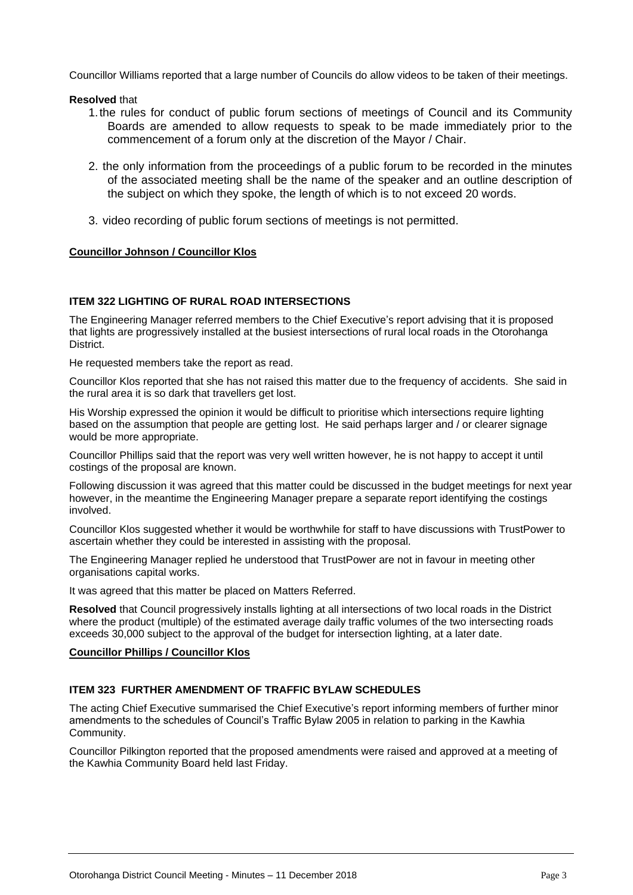Councillor Williams reported that a large number of Councils do allow videos to be taken of their meetings.

#### **Resolved** that

- 1.the rules for conduct of public forum sections of meetings of Council and its Community Boards are amended to allow requests to speak to be made immediately prior to the commencement of a forum only at the discretion of the Mayor / Chair.
- 2. the only information from the proceedings of a public forum to be recorded in the minutes of the associated meeting shall be the name of the speaker and an outline description of the subject on which they spoke, the length of which is to not exceed 20 words.
- 3. video recording of public forum sections of meetings is not permitted.

#### **Councillor Johnson / Councillor Klos**

#### **ITEM 322 LIGHTING OF RURAL ROAD INTERSECTIONS**

The Engineering Manager referred members to the Chief Executive's report advising that it is proposed that lights are progressively installed at the busiest intersections of rural local roads in the Otorohanga District.

He requested members take the report as read.

Councillor Klos reported that she has not raised this matter due to the frequency of accidents. She said in the rural area it is so dark that travellers get lost.

His Worship expressed the opinion it would be difficult to prioritise which intersections require lighting based on the assumption that people are getting lost. He said perhaps larger and / or clearer signage would be more appropriate.

Councillor Phillips said that the report was very well written however, he is not happy to accept it until costings of the proposal are known.

Following discussion it was agreed that this matter could be discussed in the budget meetings for next year however, in the meantime the Engineering Manager prepare a separate report identifying the costings involved.

Councillor Klos suggested whether it would be worthwhile for staff to have discussions with TrustPower to ascertain whether they could be interested in assisting with the proposal.

The Engineering Manager replied he understood that TrustPower are not in favour in meeting other organisations capital works.

It was agreed that this matter be placed on Matters Referred.

**Resolved** that Council progressively installs lighting at all intersections of two local roads in the District where the product (multiple) of the estimated average daily traffic volumes of the two intersecting roads exceeds 30,000 subject to the approval of the budget for intersection lighting, at a later date.

#### **Councillor Phillips / Councillor Klos**

#### **ITEM 323 FURTHER AMENDMENT OF TRAFFIC BYLAW SCHEDULES**

The acting Chief Executive summarised the Chief Executive's report informing members of further minor amendments to the schedules of Council's Traffic Bylaw 2005 in relation to parking in the Kawhia Community.

Councillor Pilkington reported that the proposed amendments were raised and approved at a meeting of the Kawhia Community Board held last Friday.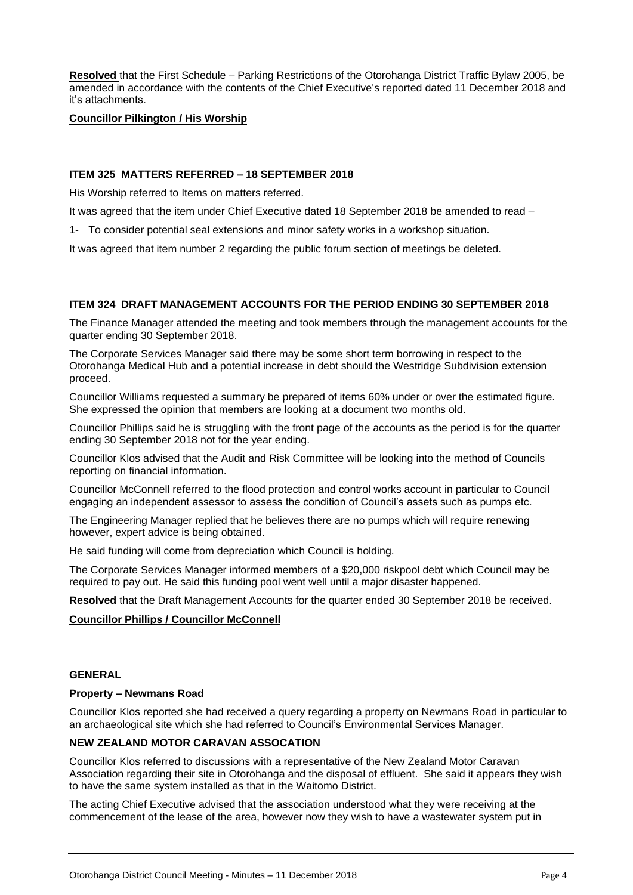**Resolved** that the First Schedule – Parking Restrictions of the Otorohanga District Traffic Bylaw 2005, be amended in accordance with the contents of the Chief Executive's reported dated 11 December 2018 and it's attachments.

#### **Councillor Pilkington / His Worship**

#### **ITEM 325 MATTERS REFERRED – 18 SEPTEMBER 2018**

His Worship referred to Items on matters referred.

It was agreed that the item under Chief Executive dated 18 September 2018 be amended to read –

1- To consider potential seal extensions and minor safety works in a workshop situation.

It was agreed that item number 2 regarding the public forum section of meetings be deleted.

#### **ITEM 324 DRAFT MANAGEMENT ACCOUNTS FOR THE PERIOD ENDING 30 SEPTEMBER 2018**

The Finance Manager attended the meeting and took members through the management accounts for the quarter ending 30 September 2018.

The Corporate Services Manager said there may be some short term borrowing in respect to the Otorohanga Medical Hub and a potential increase in debt should the Westridge Subdivision extension proceed.

Councillor Williams requested a summary be prepared of items 60% under or over the estimated figure. She expressed the opinion that members are looking at a document two months old.

Councillor Phillips said he is struggling with the front page of the accounts as the period is for the quarter ending 30 September 2018 not for the year ending.

Councillor Klos advised that the Audit and Risk Committee will be looking into the method of Councils reporting on financial information.

Councillor McConnell referred to the flood protection and control works account in particular to Council engaging an independent assessor to assess the condition of Council's assets such as pumps etc.

The Engineering Manager replied that he believes there are no pumps which will require renewing however, expert advice is being obtained.

He said funding will come from depreciation which Council is holding.

The Corporate Services Manager informed members of a \$20,000 riskpool debt which Council may be required to pay out. He said this funding pool went well until a major disaster happened.

**Resolved** that the Draft Management Accounts for the quarter ended 30 September 2018 be received.

#### **Councillor Phillips / Councillor McConnell**

#### **GENERAL**

#### **Property – Newmans Road**

Councillor Klos reported she had received a query regarding a property on Newmans Road in particular to an archaeological site which she had referred to Council's Environmental Services Manager.

#### **NEW ZEALAND MOTOR CARAVAN ASSOCATION**

Councillor Klos referred to discussions with a representative of the New Zealand Motor Caravan Association regarding their site in Otorohanga and the disposal of effluent. She said it appears they wish to have the same system installed as that in the Waitomo District.

The acting Chief Executive advised that the association understood what they were receiving at the commencement of the lease of the area, however now they wish to have a wastewater system put in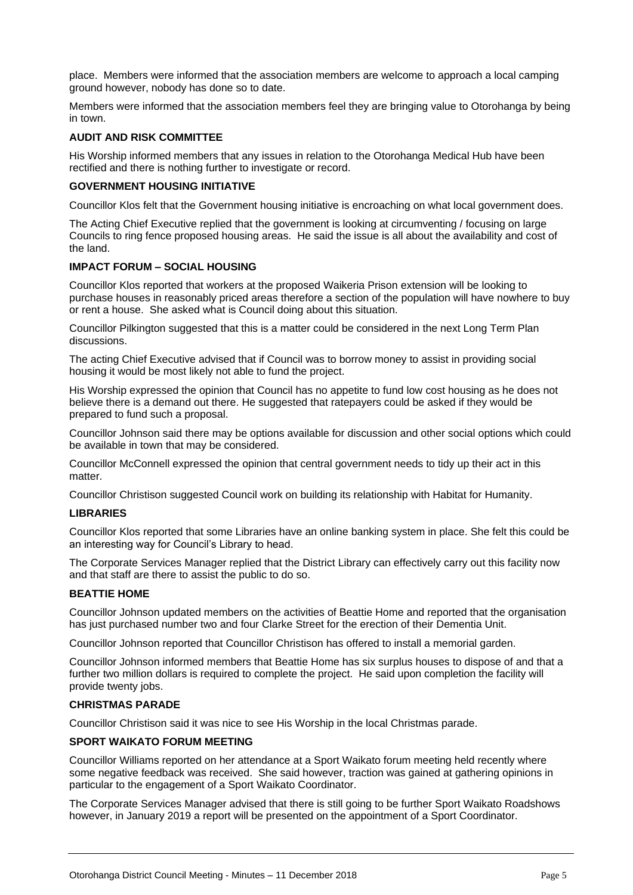place. Members were informed that the association members are welcome to approach a local camping ground however, nobody has done so to date.

Members were informed that the association members feel they are bringing value to Otorohanga by being in town.

#### **AUDIT AND RISK COMMITTEE**

His Worship informed members that any issues in relation to the Otorohanga Medical Hub have been rectified and there is nothing further to investigate or record.

#### **GOVERNMENT HOUSING INITIATIVE**

Councillor Klos felt that the Government housing initiative is encroaching on what local government does.

The Acting Chief Executive replied that the government is looking at circumventing / focusing on large Councils to ring fence proposed housing areas. He said the issue is all about the availability and cost of the land.

#### **IMPACT FORUM – SOCIAL HOUSING**

Councillor Klos reported that workers at the proposed Waikeria Prison extension will be looking to purchase houses in reasonably priced areas therefore a section of the population will have nowhere to buy or rent a house. She asked what is Council doing about this situation.

Councillor Pilkington suggested that this is a matter could be considered in the next Long Term Plan discussions.

The acting Chief Executive advised that if Council was to borrow money to assist in providing social housing it would be most likely not able to fund the project.

His Worship expressed the opinion that Council has no appetite to fund low cost housing as he does not believe there is a demand out there. He suggested that ratepayers could be asked if they would be prepared to fund such a proposal.

Councillor Johnson said there may be options available for discussion and other social options which could be available in town that may be considered.

Councillor McConnell expressed the opinion that central government needs to tidy up their act in this matter.

Councillor Christison suggested Council work on building its relationship with Habitat for Humanity.

#### **LIBRARIES**

Councillor Klos reported that some Libraries have an online banking system in place. She felt this could be an interesting way for Council's Library to head.

The Corporate Services Manager replied that the District Library can effectively carry out this facility now and that staff are there to assist the public to do so.

#### **BEATTIE HOME**

Councillor Johnson updated members on the activities of Beattie Home and reported that the organisation has just purchased number two and four Clarke Street for the erection of their Dementia Unit.

Councillor Johnson reported that Councillor Christison has offered to install a memorial garden.

Councillor Johnson informed members that Beattie Home has six surplus houses to dispose of and that a further two million dollars is required to complete the project. He said upon completion the facility will provide twenty jobs.

#### **CHRISTMAS PARADE**

Councillor Christison said it was nice to see His Worship in the local Christmas parade.

#### **SPORT WAIKATO FORUM MEETING**

Councillor Williams reported on her attendance at a Sport Waikato forum meeting held recently where some negative feedback was received. She said however, traction was gained at gathering opinions in particular to the engagement of a Sport Waikato Coordinator.

The Corporate Services Manager advised that there is still going to be further Sport Waikato Roadshows however, in January 2019 a report will be presented on the appointment of a Sport Coordinator.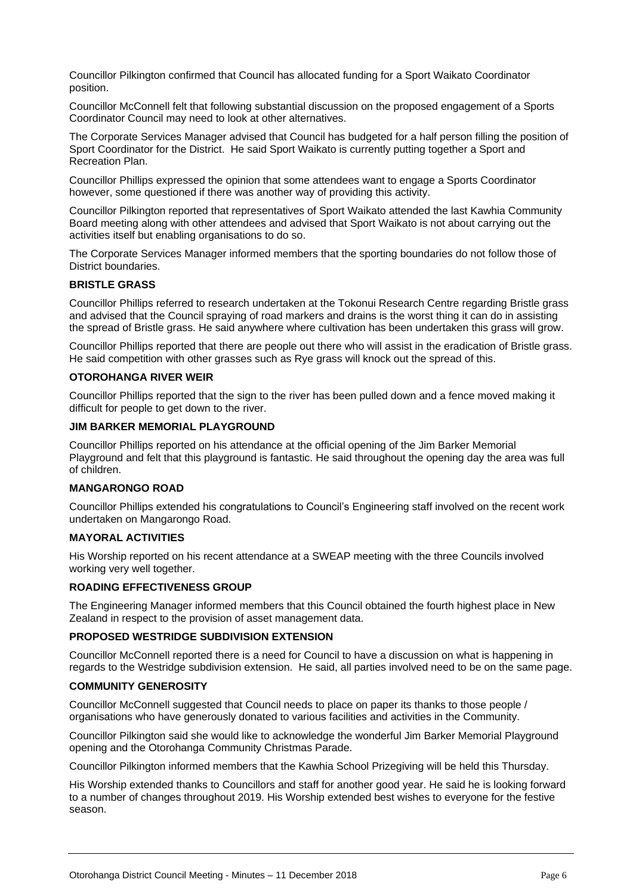Councillor Pilkington confirmed that Council has allocated funding for a Sport Waikato Coordinator position.

Councillor McConnell felt that following substantial discussion on the proposed engagement of a Sports Coordinator Council may need to look at other alternatives.

The Corporate Services Manager advised that Council has budgeted for a half person filling the position of Sport Coordinator for the District. He said Sport Waikato is currently putting together a Sport and Recreation Plan.

Councillor Phillips expressed the opinion that some attendees want to engage a Sports Coordinator however, some questioned if there was another way of providing this activity.

Councillor Pilkington reported that representatives of Sport Waikato attended the last Kawhia Community Board meeting along with other attendees and advised that Sport Waikato is not about carrying out the activities itself but enabling organisations to do so.

The Corporate Services Manager informed members that the sporting boundaries do not follow those of District boundaries.

#### **BRISTLE GRASS**

Councillor Phillips referred to research undertaken at the Tokonui Research Centre regarding Bristle grass and advised that the Council spraying of road markers and drains is the worst thing it can do in assisting the spread of Bristle grass. He said anywhere where cultivation has been undertaken this grass will grow.

Councillor Phillips reported that there are people out there who will assist in the eradication of Bristle grass. He said competition with other grasses such as Rye grass will knock out the spread of this.

#### **OTOROHANGA RIVER WEIR**

Councillor Phillips reported that the sign to the river has been pulled down and a fence moved making it difficult for people to get down to the river.

#### **JIM BARKER MEMORIAL PLAYGROUND**

Councillor Phillips reported on his attendance at the official opening of the Jim Barker Memorial Playground and felt that this playground is fantastic. He said throughout the opening day the area was full of children.

#### **MANGARONGO ROAD**

Councillor Phillips extended his congratulations to Council's Engineering staff involved on the recent work undertaken on Mangarongo Road.

#### **MAYORAL ACTIVITIES**

His Worship reported on his recent attendance at a SWEAP meeting with the three Councils involved working very well together.

#### **ROADING EFFECTIVENESS GROUP**

The Engineering Manager informed members that this Council obtained the fourth highest place in New Zealand in respect to the provision of asset management data.

#### **PROPOSED WESTRIDGE SUBDIVISION EXTENSION**

Councillor McConnell reported there is a need for Council to have a discussion on what is happening in regards to the Westridge subdivision extension. He said, all parties involved need to be on the same page.

#### **COMMUNITY GENEROSITY**

Councillor McConnell suggested that Council needs to place on paper its thanks to those people / organisations who have generously donated to various facilities and activities in the Community.

Councillor Pilkington said she would like to acknowledge the wonderful Jim Barker Memorial Playground opening and the Otorohanga Community Christmas Parade.

Councillor Pilkington informed members that the Kawhia School Prizegiving will be held this Thursday.

His Worship extended thanks to Councillors and staff for another good year. He said he is looking forward to a number of changes throughout 2019. His Worship extended best wishes to everyone for the festive season.